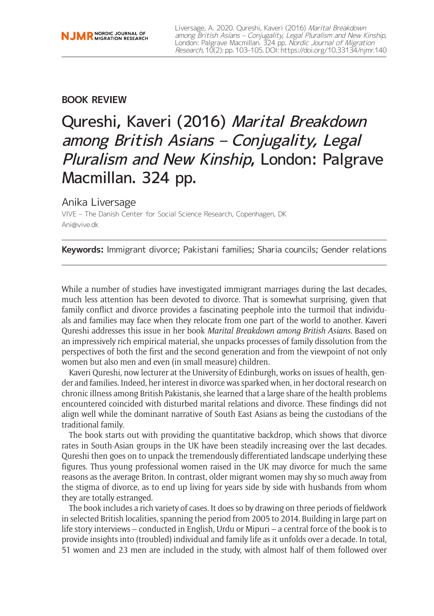### **BOOK REVIEW**

# Qureshi, Kaveri (2016) Marital Breakdown among British Asians – Conjugality, Legal Pluralism and New Kinship, London: Palgrave Macmillan. 324 pp.

## Anika Liversage

VIVE – The Danish Center for Social Science Research, Copenhagen, DK [Ani@vive.dk](mailto:Ani@vive.dk)

**Keywords:** Immigrant divorce; Pakistani families; Sharia councils; Gender relations

While a number of studies have investigated immigrant marriages during the last decades, much less attention has been devoted to divorce. That is somewhat surprising, given that family conflict and divorce provides a fascinating peephole into the turmoil that individuals and families may face when they relocate from one part of the world to another. Kaveri Qureshi addresses this issue in her book *Marital Breakdown among British Asians*. Based on an impressively rich empirical material, she unpacks processes of family dissolution from the perspectives of both the first and the second generation and from the viewpoint of not only women but also men and even (in small measure) children.

Kaveri Qureshi, now lecturer at the University of Edinburgh, works on issues of health, gender and families. Indeed, her interest in divorce was sparked when, in her doctoral research on chronic illness among British Pakistanis, she learned that a large share of the health problems encountered coincided with disturbed marital relations and divorce. These findings did not align well while the dominant narrative of South East Asians as being the custodians of the traditional family.

The book starts out with providing the quantitative backdrop, which shows that divorce rates in South-Asian groups in the UK have been steadily increasing over the last decades. Qureshi then goes on to unpack the tremendously differentiated landscape underlying these figures. Thus young professional women raised in the UK may divorce for much the same reasons as the average Briton. In contrast, older migrant women may shy so much away from the stigma of divorce, as to end up living for years side by side with husbands from whom they are totally estranged.

The book includes a rich variety of cases. It does so by drawing on three periods of fieldwork in selected British localities, spanning the period from 2005 to 2014. Building in large part on life story interviews – conducted in English, Urdu or Mipuri – a central force of the book is to provide insights into (troubled) individual and family life as it unfolds over a decade. In total, 51 women and 23 men are included in the study, with almost half of them followed over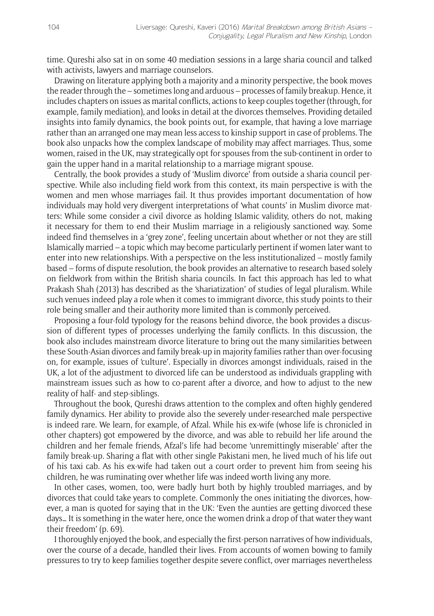time. Qureshi also sat in on some 40 mediation sessions in a large sharia council and talked with activists, lawyers and marriage counselors.

Drawing on literature applying both a majority and a minority perspective, the book moves the reader through the – sometimes long and arduous – processes of family breakup. Hence, it includes chapters on issues as marital conflicts, actions to keep couples together (through, for example, family mediation), and looks in detail at the divorces themselves. Providing detailed insights into family dynamics, the book points out, for example, that having a love marriage rather than an arranged one may mean less access to kinship support in case of problems. The book also unpacks how the complex landscape of mobility may affect marriages. Thus, some women, raised in the UK, may strategically opt for spouses from the sub-continent in order to gain the upper hand in a marital relationship to a marriage migrant spouse.

Centrally, the book provides a study of 'Muslim divorce' from outside a sharia council perspective. While also including field work from this context, its main perspective is with the women and men whose marriages fail. It thus provides important documentation of how individuals may hold very divergent interpretations of 'what counts' in Muslim divorce matters: While some consider a civil divorce as holding Islamic validity, others do not, making it necessary for them to end their Muslim marriage in a religiously sanctioned way. Some indeed find themselves in a 'grey zone', feeling uncertain about whether or not they are still Islamically married – a topic which may become particularly pertinent if women later want to enter into new relationships. With a perspective on the less institutionalized – mostly family based – forms of dispute resolution, the book provides an alternative to research based solely on fieldwork from within the British sharia councils. In fact this approach has led to what Prakash Shah (2013) has described as the 'shariatization' of studies of legal pluralism. While such venues indeed play a role when it comes to immigrant divorce, this study points to their role being smaller and their authority more limited than is commonly perceived.

Proposing a four-fold typology for the reasons behind divorce, the book provides a discussion of different types of processes underlying the family conflicts. In this discussion, the book also includes mainstream divorce literature to bring out the many similarities between these South-Asian divorces and family break-up in majority families rather than over-focusing on, for example, issues of 'culture'. Especially in divorces amongst individuals, raised in the UK, a lot of the adjustment to divorced life can be understood as individuals grappling with mainstream issues such as how to co-parent after a divorce, and how to adjust to the new reality of half- and step-siblings.

Throughout the book, Qureshi draws attention to the complex and often highly gendered family dynamics. Her ability to provide also the severely under-researched male perspective is indeed rare. We learn, for example, of Afzal. While his ex-wife (whose life is chronicled in other chapters) got empowered by the divorce, and was able to rebuild her life around the children and her female friends, Afzal's life had become 'unremittingly miserable' after the family break-up. Sharing a flat with other single Pakistani men, he lived much of his life out of his taxi cab. As his ex-wife had taken out a court order to prevent him from seeing his children, he was ruminating over whether life was indeed worth living any more.

In other cases, women, too, were badly hurt both by highly troubled marriages, and by divorces that could take years to complete. Commonly the ones initiating the divorces, however, a man is quoted for saying that in the UK: 'Even the aunties are getting divorced these days… It is something in the water here, once the women drink a drop of that water they want their freedom' (p. 69).

I thoroughly enjoyed the book, and especially the first-person narratives of how individuals, over the course of a decade, handled their lives. From accounts of women bowing to family pressures to try to keep families together despite severe conflict, over marriages nevertheless